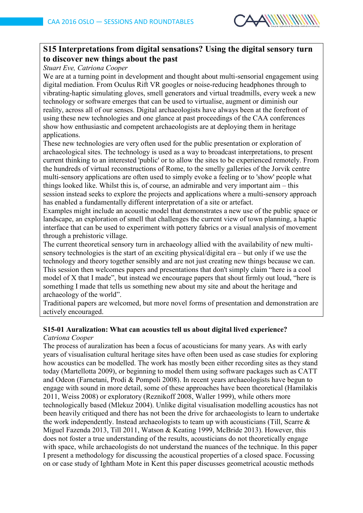

### **S15 Interpretations from digital sensations? Using the digital sensory turn to discover new things about the past**

*Stuart Eve, Catriona Cooper*

We are at a turning point in development and thought about multi-sensorial engagement using digital mediation. From Oculus Rift VR googles or noise-reducing headphones through to vibrating-haptic simulating gloves, smell generators and virtual treadmills, every week a new technology or software emerges that can be used to virtualise, augment or diminish our reality, across all of our senses. Digital archaeologists have always been at the forefront of using these new technologies and one glance at past proceedings of the CAA conferences show how enthusiastic and competent archaeologists are at deploying them in heritage applications.

These new technologies are very often used for the public presentation or exploration of archaeological sites. The technology is used as a way to broadcast interpretations, to present current thinking to an interested 'public' or to allow the sites to be experienced remotely. From the hundreds of virtual reconstructions of Rome, to the smelly galleries of the Jorvik centre multi-sensory applications are often used to simply evoke a feeling or to 'show' people what things looked like. Whilst this is, of course, an admirable and very important aim – this session instead seeks to explore the projects and applications where a multi-sensory approach has enabled a fundamentally different interpretation of a site or artefact.

Examples might include an acoustic model that demonstrates a new use of the public space or landscape, an exploration of smell that challenges the current view of town planning, a haptic interface that can be used to experiment with pottery fabrics or a visual analysis of movement through a prehistoric village.

The current theoretical sensory turn in archaeology allied with the availability of new multisensory technologies is the start of an exciting physical/digital era – but only if we use the technology and theory together sensibly and are not just creating new things because we can. This session then welcomes papers and presentations that don't simply claim "here is a cool model of X that I made", but instead we encourage papers that shout firmly out loud, "here is something I made that tells us something new about my site and about the heritage and archaeology of the world".

Traditional papers are welcomed, but more novel forms of presentation and demonstration are actively encouraged.

# **S15-01 Auralization: What can acoustics tell us about digital lived experience?**

### *Catriona Cooper*

The process of auralization has been a focus of acousticians for many years. As with early years of visualisation cultural heritage sites have often been used as case studies for exploring how acoustics can be modelled. The work has mostly been either recording sites as they stand today (Martellotta 2009), or beginning to model them using software packages such as CATT and Odeon (Farnetani, Prodi & Pompoli 2008). In recent years archaeologists have begun to engage with sound in more detail, some of these approaches have been theoretical (Hamilakis 2011, Weiss 2008) or exploratory (Reznikoff 2008, Waller 1999), while others more technologically based (Mlekuz 2004). Unlike digital visualisation modelling acoustics has not been heavily critiqued and there has not been the drive for archaeologists to learn to undertake the work independently. Instead archaeologists to team up with acousticians (Till, Scarre & Miguel Fazenda 2013, Till 2011, Watson & Keating 1999, McBride 2013). However, this does not foster a true understanding of the results, acousticians do not theoretically engage with space, while archaeologists do not understand the nuances of the technique. In this paper I present a methodology for discussing the acoustical properties of a closed space. Focussing on or case study of Ightham Mote in Kent this paper discusses geometrical acoustic methods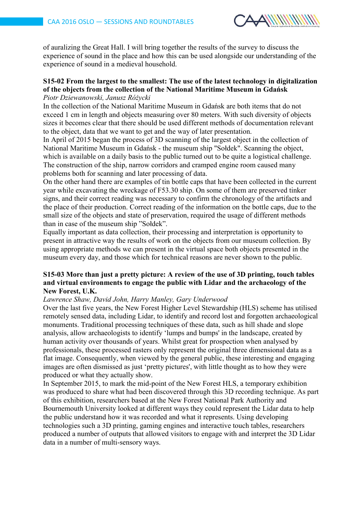

of auralizing the Great Hall. I will bring together the results of the survey to discuss the experience of sound in the place and how this can be used alongside our understanding of the experience of sound in a medieval household.

## **S15-02 From the largest to the smallest: The use of the latest technology in digitalization of the objects from the collection of the National Maritime Museum in Gdańsk**

### *Piotr Dziewanowski, Janusz Różycki*

In the collection of the National Maritime Museum in Gdańsk are both items that do not exceed 1 cm in length and objects measuring over 80 meters. With such diversity of objects sizes it becomes clear that there should be used different methods of documentation relevant to the object, data that we want to get and the way of later presentation.

In April of 2015 began the process of 3D scanning of the largest object in the collection of National Maritime Museum in Gdańsk - the museum ship "Sołdek". Scanning the object, which is available on a daily basis to the public turned out to be quite a logistical challenge. The construction of the ship, narrow corridors and cramped engine room caused many problems both for scanning and later processing of data.

On the other hand there are examples of tin bottle caps that have been collected in the current year while excavating the wreckage of F53.30 ship. On some of them are preserved tinker signs, and their correct reading was necessary to confirm the chronology of the artifacts and the place of their production. Correct reading of the information on the bottle caps, due to the small size of the objects and state of preservation, required the usage of different methods than in case of the museum ship "Sołdek".

Equally important as data collection, their processing and interpretation is opportunity to present in attractive way the results of work on the objects from our museum collection. By using appropriate methods we can present in the virtual space both objects presented in the museum every day, and those which for technical reasons are never shown to the public.

### **S15-03 More than just a pretty picture: A review of the use of 3D printing, touch tables and virtual environments to engage the public with Lidar and the archaeology of the New Forest, U.K.**

### *Lawrence Shaw, David John, Harry Manley, Gary Underwood*

Over the last five years, the New Forest Higher Level Stewardship (HLS) scheme has utilised remotely sensed data, including Lidar, to identify and record lost and forgotten archaeological monuments. Traditional processing techniques of these data, such as hill shade and slope analysis, allow archaeologists to identify 'lumps and bumps' in the landscape, created by human activity over thousands of years. Whilst great for prospection when analysed by professionals, these processed rasters only represent the original three dimensional data as a flat image. Consequently, when viewed by the general public, these interesting and engaging images are often dismissed as just 'pretty pictures', with little thought as to how they were produced or what they actually show.

In September 2015, to mark the mid-point of the New Forest HLS, a temporary exhibition was produced to share what had been discovered through this 3D recording technique. As part of this exhibition, researchers based at the New Forest National Park Authority and Bournemouth University looked at different ways they could represent the Lidar data to help the public understand how it was recorded and what it represents. Using developing technologies such a 3D printing, gaming engines and interactive touch tables, researchers produced a number of outputs that allowed visitors to engage with and interpret the 3D Lidar data in a number of multi-sensory ways.